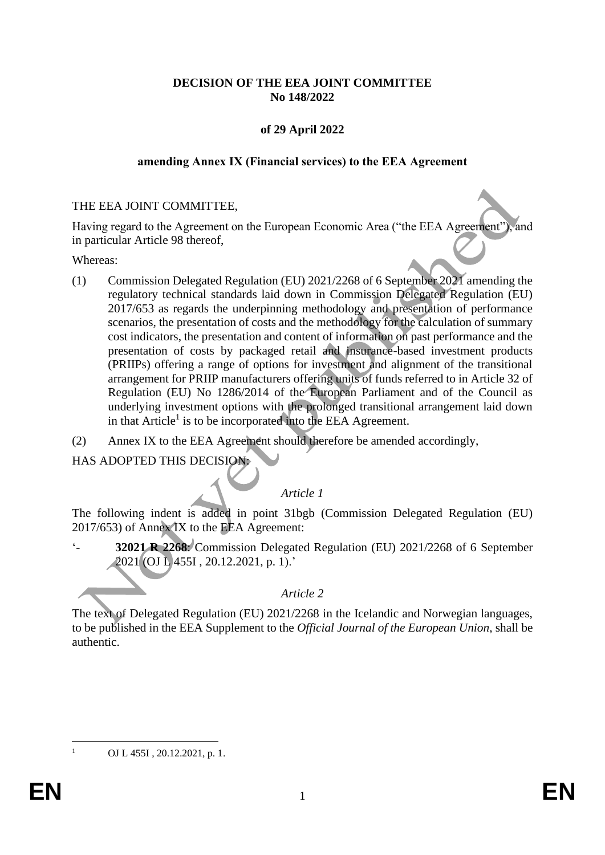# **DECISION OF THE EEA JOINT COMMITTEE No 148/2022**

# **of 29 April 2022**

### **amending Annex IX (Financial services) to the EEA Agreement**

### THE EEA JOINT COMMITTEE,

Having regard to the Agreement on the European Economic Area ("the EEA Agreement"), and in particular Article 98 thereof,

Whereas:

- (1) Commission Delegated Regulation (EU) 2021/2268 of 6 September 2021 amending the regulatory technical standards laid down in Commission Delegated Regulation (EU) 2017/653 as regards the underpinning methodology and presentation of performance scenarios, the presentation of costs and the methodology for the calculation of summary cost indicators, the presentation and content of information on past performance and the presentation of costs by packaged retail and insurance-based investment products (PRIIPs) offering a range of options for investment and alignment of the transitional arrangement for PRIIP manufacturers offering units of funds referred to in Article 32 of Regulation (EU) No 1286/2014 of the European Parliament and of the Council as underlying investment options with the prolonged transitional arrangement laid down in that Article<sup>1</sup> is to be incorporated into the EEA Agreement.
- (2) Annex IX to the EEA Agreement should therefore be amended accordingly,

HAS ADOPTED THIS DECISION:

# *Article 1*

The following indent is added in point 31bgb (Commission Delegated Regulation (EU) 2017/653) of Annex IX to the EEA Agreement:

'- **32021 R 2268**: Commission Delegated Regulation (EU) 2021/2268 of 6 September 2021 (OJ L 455I , 20.12.2021, p. 1).'

## *Article 2*

The text of Delegated Regulation (EU) 2021/2268 in the Icelandic and Norwegian languages, to be published in the EEA Supplement to the *Official Journal of the European Union*, shall be authentic.

OJ L 455I, 20.12.2021, p. 1.